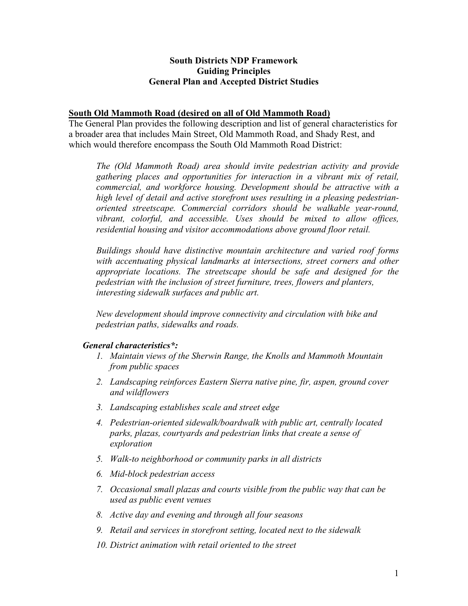## **South Districts NDP Framework Guiding Principles General Plan and Accepted District Studies**

### **South Old Mammoth Road (desired on all of Old Mammoth Road)**

The General Plan provides the following description and list of general characteristics for a broader area that includes Main Street, Old Mammoth Road, and Shady Rest, and which would therefore encompass the South Old Mammoth Road District:

*The (Old Mammoth Road) area should invite pedestrian activity and provide gathering places and opportunities for interaction in a vibrant mix of retail, commercial, and workforce housing. Development should be attractive with a high level of detail and active storefront uses resulting in a pleasing pedestrianoriented streetscape. Commercial corridors should be walkable year-round, vibrant, colorful, and accessible. Uses should be mixed to allow offices, residential housing and visitor accommodations above ground floor retail.* 

*Buildings should have distinctive mountain architecture and varied roof forms with accentuating physical landmarks at intersections, street corners and other appropriate locations. The streetscape should be safe and designed for the pedestrian with the inclusion of street furniture, trees, flowers and planters, interesting sidewalk surfaces and public art.* 

*New development should improve connectivity and circulation with bike and pedestrian paths, sidewalks and roads.* 

# *General characteristics\*:*

- *1. Maintain views of the Sherwin Range, the Knolls and Mammoth Mountain from public spaces*
- *2. Landscaping reinforces Eastern Sierra native pine, fir, aspen, ground cover and wildflowers*
- *3. Landscaping establishes scale and street edge*
- *4. Pedestrian-oriented sidewalk/boardwalk with public art, centrally located parks, plazas, courtyards and pedestrian links that create a sense of exploration*
- *5. Walk-to neighborhood or community parks in all districts*
- *6. Mid-block pedestrian access*
- *7. Occasional small plazas and courts visible from the public way that can be used as public event venues*
- *8. Active day and evening and through all four seasons*
- *9. Retail and services in storefront setting, located next to the sidewalk*
- *10. District animation with retail oriented to the street*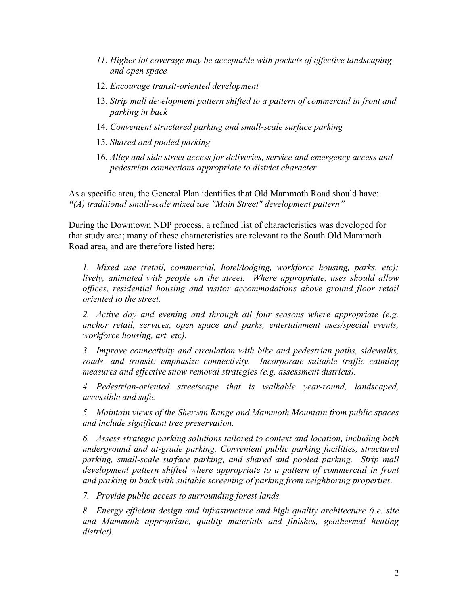- *11. Higher lot coverage may be acceptable with pockets of effective landscaping and open space*
- 12. *Encourage transit-oriented development*
- 13. *Strip mall development pattern shifted to a pattern of commercial in front and parking in back*
- 14. *Convenient structured parking and small-scale surface parking*
- 15. *Shared and pooled parking*
- 16. *Alley and side street access for deliveries, service and emergency access and pedestrian connections appropriate to district character*

As a specific area, the General Plan identifies that Old Mammoth Road should have: *"(A) traditional small-scale mixed use "Main Street" development pattern"*

During the Downtown NDP process, a refined list of characteristics was developed for that study area; many of these characteristics are relevant to the South Old Mammoth Road area, and are therefore listed here:

*1. Mixed use (retail, commercial, hotel/lodging, workforce housing, parks, etc); lively, animated with people on the street. Where appropriate, uses should allow offices, residential housing and visitor accommodations above ground floor retail oriented to the street.* 

*2. Active day and evening and through all four seasons where appropriate (e.g. anchor retail, services, open space and parks, entertainment uses/special events, workforce housing, art, etc).* 

*3. Improve connectivity and circulation with bike and pedestrian paths, sidewalks, roads, and transit; emphasize connectivity. Incorporate suitable traffic calming measures and effective snow removal strategies (e.g. assessment districts).* 

*4. Pedestrian-oriented streetscape that is walkable year-round, landscaped, accessible and safe.* 

*5. Maintain views of the Sherwin Range and Mammoth Mountain from public spaces and include significant tree preservation.* 

*6. Assess strategic parking solutions tailored to context and location, including both underground and at-grade parking. Convenient public parking facilities, structured parking, small-scale surface parking, and shared and pooled parking. Strip mall development pattern shifted where appropriate to a pattern of commercial in front and parking in back with suitable screening of parking from neighboring properties.* 

*7. Provide public access to surrounding forest lands.* 

*8. Energy efficient design and infrastructure and high quality architecture (i.e. site*  and Mammoth appropriate, quality materials and finishes, geothermal heating *district).*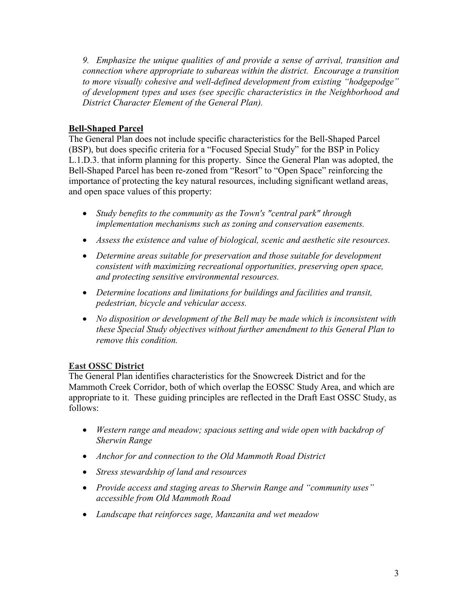*9. Emphasize the unique qualities of and provide a sense of arrival, transition and connection where appropriate to subareas within the district. Encourage a transition to more visually cohesive and well-defined development from existing "hodgepodge" of development types and uses (see specific characteristics in the Neighborhood and District Character Element of the General Plan).* 

# **Bell-Shaped Parcel**

The General Plan does not include specific characteristics for the Bell-Shaped Parcel (BSP), but does specific criteria for a "Focused Special Study" for the BSP in Policy L.1.D.3. that inform planning for this property. Since the General Plan was adopted, the Bell-Shaped Parcel has been re-zoned from "Resort" to "Open Space" reinforcing the importance of protecting the key natural resources, including significant wetland areas, and open space values of this property:

- *Study benefits to the community as the Town's "central park" through implementation mechanisms such as zoning and conservation easements.*
- *Assess the existence and value of biological, scenic and aesthetic site resources.*
- *Determine areas suitable for preservation and those suitable for development consistent with maximizing recreational opportunities, preserving open space, and protecting sensitive environmental resources.*
- *Determine locations and limitations for buildings and facilities and transit, pedestrian, bicycle and vehicular access.*
- *No disposition or development of the Bell may be made which is inconsistent with these Special Study objectives without further amendment to this General Plan to remove this condition.*

# **East OSSC District**

The General Plan identifies characteristics for the Snowcreek District and for the Mammoth Creek Corridor, both of which overlap the EOSSC Study Area, and which are appropriate to it. These guiding principles are reflected in the Draft East OSSC Study, as follows:

- *Western range and meadow; spacious setting and wide open with backdrop of Sherwin Range*
- *Anchor for and connection to the Old Mammoth Road District*
- *Stress stewardship of land and resources*
- *Provide access and staging areas to Sherwin Range and "community uses" accessible from Old Mammoth Road*
- *Landscape that reinforces sage, Manzanita and wet meadow*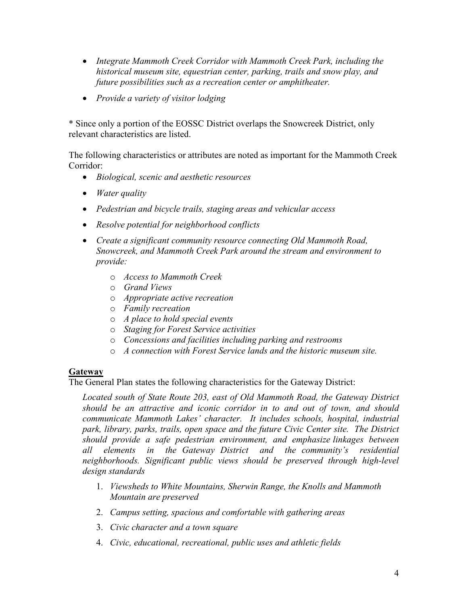- *Integrate Mammoth Creek Corridor with Mammoth Creek Park, including the historical museum site, equestrian center, parking, trails and snow play, and future possibilities such as a recreation center or amphitheater.*
- *Provide a variety of visitor lodging*

\* Since only a portion of the EOSSC District overlaps the Snowcreek District, only relevant characteristics are listed.

The following characteristics or attributes are noted as important for the Mammoth Creek Corridor:

- *Biological, scenic and aesthetic resources*
- *Water quality*
- *Pedestrian and bicycle trails, staging areas and vehicular access*
- *Resolve potential for neighborhood conflicts*
- *Create a significant community resource connecting Old Mammoth Road, Snowcreek, and Mammoth Creek Park around the stream and environment to provide:* 
	- o *Access to Mammoth Creek*
	- o *Grand Views*
	- o *Appropriate active recreation*
	- o *Family recreation*
	- o *A place to hold special events*
	- o *Staging for Forest Service activities*
	- o *Concessions and facilities including parking and restrooms*
	- o *A connection with Forest Service lands and the historic museum site.*

## **Gateway**

The General Plan states the following characteristics for the Gateway District:

*Located south of State Route 203, east of Old Mammoth Road, the Gateway District should be an attractive and iconic corridor in to and out of town, and should communicate Mammoth Lakes' character. It includes schools, hospital, industrial park, library, parks, trails, open space and the future Civic Center site. The District should provide a safe pedestrian environment, and emphasize linkages between all elements in the Gateway District and the community's residential neighborhoods. Significant public views should be preserved through high-level design standards* 

- 1. *Viewsheds to White Mountains, Sherwin Range, the Knolls and Mammoth Mountain are preserved*
- 2. *Campus setting, spacious and comfortable with gathering areas*
- 3. *Civic character and a town square*
- 4. *Civic, educational, recreational, public uses and athletic fields*